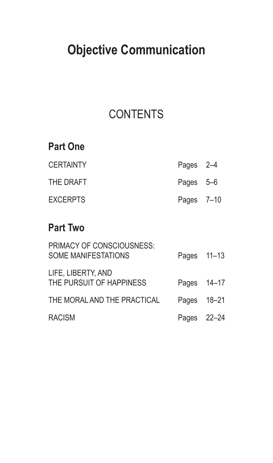# **Objective Communication**

## **CONTENTS**

## **Part One**

| <b>CERTAINTY</b> | Pages 2-4  |  |
|------------------|------------|--|
| THE DRAFT        | Pages 5-6  |  |
| <b>EXCERPTS</b>  | Pages 7-10 |  |

### **Part Two**

| PRIMACY OF CONSCIOUSNESS:<br><b>SOME MANIFESTATIONS</b> | Pages 11-13 |             |
|---------------------------------------------------------|-------------|-------------|
| LIFE, LIBERTY, AND<br>THE PURSUIT OF HAPPINESS          |             | Pages 14-17 |
| THE MORAL AND THE PRACTICAL                             | Pages 18-21 |             |
| <b>RACISM</b>                                           |             | Pages 22-24 |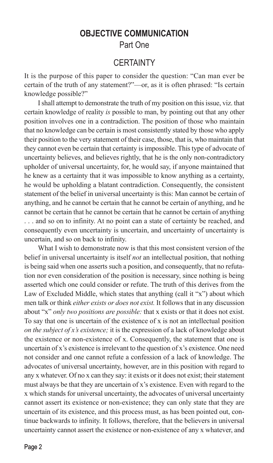#### **OBJECTIVE COMMUNICATION** Part One

#### **CERTAINTY**

It is the purpose of this paper to consider the question: "Can man ever be certain of the truth of any statement?"—or, as it is often phrased: "Is certain knowledge possible?"

I shall attempt to demonstrate the truth of my position on this issue, viz. that certain knowledge of reality *is* possible to man, by pointing out that any other position involves one in a contradiction. The position of those who maintain that no knowledge can be certain is most consistently stated by those who apply their position to the very statement of their case, those, that is, who maintain that they cannot even be certain that certainty is impossible. This type of advocate of uncertainty believes, and believes rightly, that he is the only non-contradictory upholder of universal uncertainty, for, he would say, if anyone maintained that he knew as a certainty that it was impossible to know anything as a certainty, he would be upholding a blatant contradiction. Consequently, the consistent statement of the belief in universal uncertainty is this: Man cannot be certain of anything, and he cannot be certain that he cannot be certain of anything, and he cannot be certain that he cannot be certain that he cannot be certain of anything . . . and so on to infinity. At no point can a state of certainty be reached, and consequently even uncertainty is uncertain, and uncertainty of uncertainty is uncertain, and so on back to infinity.

What I wish to demonstrate now is that this most consistent version of the belief in universal uncertainty is itself *not* an intellectual position, that nothing is being said when one asserts such a position, and consequently, that no refutation nor even consideration of the position is necessary, since nothing is being asserted which one could consider or refute. The truth of this derives from the Law of Excluded Middle, which states that anything (call it "x") about which men talk or think *either exists or does not exist.* It follows that in any discussion about "x" *only two positions are possible:* that x exists or that it does not exist. To say that one is uncertain of the existence of x is not an intellectual position *on the subject of x's existence;* it is the expression of a lack of knowledge about the existence or non-existence of x. Consequently, the statement that one is uncertain of x's existence is irrelevant to the question of x's existence. One need not consider and one cannot refute a confession of a lack of knowledge. The advocates of universal uncertainty, however, are in this position with regard to any x whatever. Of no x can they say: it exists or it does not exist; their statement must always be that they are uncertain of x's existence. Even with regard to the x which stands for universal uncertainty, the advocates of universal uncertainty cannot assert its existence or non-existence; they can only state that they are uncertain of its existence, and this process must, as has been pointed out, continue backwards to infinity. It follows, therefore, that the believers in universal uncertainty cannot assert the existence or non-existence of any x whatever, and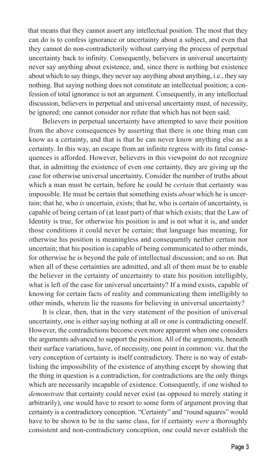that means that they cannot assert any intellectual position. The most that they can do is to confess ignorance or uncertainty about a subject, and even that they cannot do non-contradictorily without carrying the process of perpetual uncertainty back to infinity. Consequently, believers in universal uncertainty never say anything about existence, and, since there is nothing but existence about which to say things, they never say anything about anything, i.e., they say nothing. But saying nothing does not constitute an intellectual position; a confession of total ignorance is not an argument. Consequently, in any intellectual discussion, believers in perpetual and universal uncertainty must, of necessity, be ignored; one cannot consider nor refute that which has not been said.

Believers in perpetual uncertainty have attempted to save their position from the above consequences by asserting that there is one thing man can know as a certainty, and that is that he can never know anything else as a certainty. In this way, an escape from an infinite regress with its fatal consequences is afforded. However, believers in this viewpoint do not recognize that, in admitting the existence of even one certainty, they are giving up the case for otherwise universal uncertainty. Consider the number of truths about which a man must be certain, before he could be *certain* that certainty was impossible. He must be certain that something exists *about* which he is uncertain; that he, who *is* uncertain, exists; that he, who is certain of uncertainty, is capable of being certain of (at least part) of that which exists; that the Law of Identity is true, for otherwise his position is and is not what it is, and under those conditions it could never be certain; that language has meaning, for otherwise his position is meaningless and consequently neither certain nor uncertain; that his position is capable of being communicated to other minds, for otherwise he is beyond the pale of intellectual discussion; and so on. But when all of these certainties are admitted, and all of them must be to enable the believer in the certainty of uncertainty to state his position intelligibly, what is left of the case for universal uncertainty? If a mind exists, capable of knowing for certain facts of reality and communicating them intelligibly to other minds, wherein lie the reasons for believing in universal uncertainty?

It is clear, then, that in the very statement of the position of universal uncertainty, one is either saying nothing at all or one is contradicting oneself. However, the contradictions become even more apparent when one considers the arguments advanced to support the position. All of the arguments, beneath their surface variations, have, of necessity, one point in common: viz. that the very conception of certainty is itself contradictory. There is no way of establishing the impossibility of the existence of anything except by showing that the thing in question is a contradiction, for contradictions are the only things which are necessarily incapable of existence. Consequently, if one wished to *demonstrate* that certainty could never exist (as opposed to merely stating it arbitrarily), one would have to resort to some form of argument proving that certainty is a contradictory conception. "Certainty" and "round squares" would have to be shown to be in the same class, for if certainty *were* a thoroughly consistent and non-contradictory conception, one could never establish the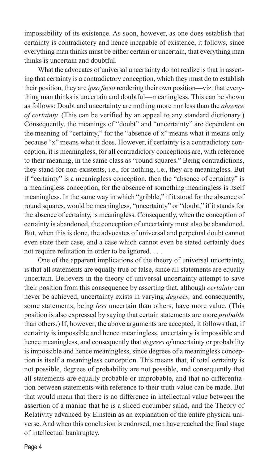impossibility of its existence. As soon, however, as one does establish that certainty is contradictory and hence incapable of existence, it follows, since everything man thinks must be either certain or uncertain, that everything man thinks is uncertain and doubtful.

What the advocates of universal uncertainty do not realize is that in asserting that certainty is a contradictory conception, which they must do to establish their position, they are *ipso facto* rendering their own position—viz. that everything man thinks is uncertain and doubtful—meaningless. This can be shown as follows: Doubt and uncertainty are nothing more nor less than the *absence of certainty.* (This can be verified by an appeal to any standard dictionary.) Consequently, the meanings of "doubt" and "uncertainty" are dependent on the meaning of "certainty," for the "absence of x" means what it means only because "x" means what it does. However, if certainty is a contradictory conception, it is meaningless, for all contradictory conceptions are, with reference to their meaning, in the same class as "round squares." Being contradictions, they stand for non-existents, i.e., for nothing, i.e., they are meaningless. But if "certainty" is a meaningless conception, then the "absence of certainty" is a meaningless conception, for the absence of something meaningless is itself meaningless. In the same way in which "gribble," if it stood for the absence of round squares, would be meaningless, "uncertainty" or "doubt," if it stands for the absence of certainty, is meaningless. Consequently, when the conception of certainty is abandoned, the conception of uncertainty must also be abandoned. But, when this is done, the advocates of universal and perpetual doubt cannot even state their case, and a case which cannot even be stated certainly does not require refutation in order to be ignored. . . .

One of the apparent implications of the theory of universal uncertainty, is that all statements are equally true or false, since all statements are equally uncertain. Believers in the theory of universal uncertainty attempt to save their position from this consequence by asserting that, although *certainty* can never be achieved, uncertainty exists in varying *degrees,* and consequently, some statements, being *less* uncertain than others, have more value. (This position is also expressed by saying that certain statements are more *probable*  than others.) If, however, the above arguments are accepted, it follows that, if certainty is impossible and hence meaningless, uncertainty is impossible and hence meaningless, and consequently that *degrees of* uncertainty or probability is impossible and hence meaningless, since degrees of a meaningless conception is itself a meaningless conception. This means that, if total certainty is not possible, degrees of probability are not possible, and consequently that all statements are equally probable or improbable, and that no differentiation between statements with reference to their truth-value can be made. But that would mean that there is no difference in intellectual value between the assertion of a maniac that he is a sliced cucumber salad, and the Theory of Relativity advanced by Einstein as an explanation of the entire physical universe. And when this conclusion is endorsed, men have reached the final stage of intellectual bankruptcy.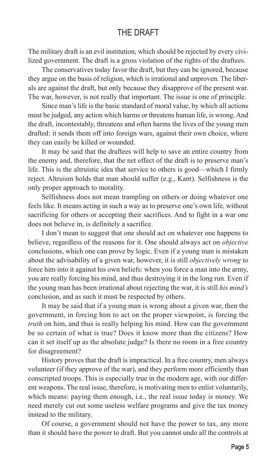#### THE DRAFT

The military draft is an evil institution, which should be rejected by every civilized government. The draft is a gross violation of the rights of the draftees.

The conservatives today favor the draft, but they can be ignored, because they argue on the basis of religion, which is irrational and unproven. The liberals are against the draft, but only because they disapprove of the present war. The war, however, is not really that important. The issue is one of principle.

Since man's life is the basic standard of moral value, by which all actions must be judged, any action which harms or threatens human life, is wrong. And the draft, incontestably, threatens and often harms the lives of the young men drafted: it sends them off into foreign wars, against their own choice, where they can easily be killed or wounded.

It may be said that the draftees will help to save an entire country from the enemy and, therefore, that the net effect of the draft is to preserve man's life. This is the altruistic idea that service to others is good—which I firmly reject. Altruism holds that man should suffer (e.g., Kant). Selfishness is the only proper approach to morality.

Selfishness does not mean trampling on others or doing whatever one feels like. It means acting in such a way as to preserve one's own life, without sacrificing for others or accepting their sacrifices. And to fight in a war one does not believe in, is definitely a sacrifice.

I don't mean to suggest that one should act on whatever one happens to believe, regardless of the reasons for it. One should always act on *objective*  conclusions, which one can prove by logic. Even if a young man is mistaken about the advisability of a given war, however, it is still *objectively wrong* to force him into it against his own beliefs: when you force a man into the army, you are really forcing his mind, and thus destroying it in the long run. Even if the young man has been irrational about rejecting the war, it is still *his mind's*  conclusion, and as such it must be respected by others.

It may be said that if a young man is wrong about a given war, then the government, in forcing him to act on the proper viewpoint, is forcing the *truth* on him, and thus is really helping his mind. How can the government be so certain of what is true? Does it know more than the citizens? How can it set itself up as the absolute judge? Is there no room in a free country for disagreement?

History proves that the draft is impractical. In a free country, men always volunteer (if they approve of the war), and they perform more efficiently than conscripted troops. This is especially true in the modern age, with our different weapons. The real issue, therefore, is motivating men to enlist voluntarily, which means: paying them enough, i.e., the real issue today is money. We need merely cut out some useless welfare programs and give the tax money instead to the military.

Of course, a government should not have the power to tax, any more than it should have the power to draft. But you cannot undo all the controls at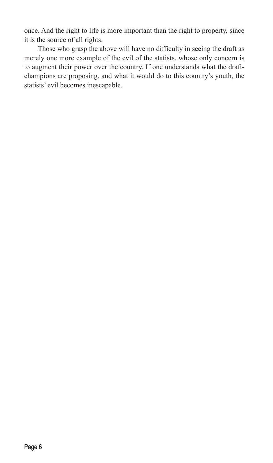once. And the right to life is more important than the right to property, since it is the source of all rights.

Those who grasp the above will have no difficulty in seeing the draft as merely one more example of the evil of the statists, whose only concern is to augment their power over the country. If one understands what the draftchampions are proposing, and what it would do to this country's youth, the statists' evil becomes inescapable.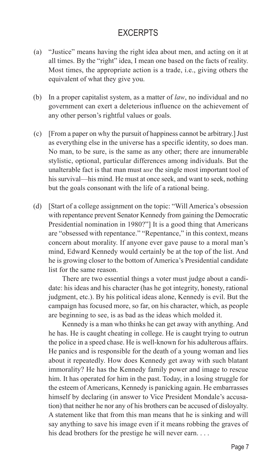#### EXCERPTS

- (a) "Justice" means having the right idea about men, and acting on it at all times. By the "right" idea, I mean one based on the facts of reality. Most times, the appropriate action is a trade, i.e., giving others the equivalent of what they give you.
- (b) In a proper capitalist system, as a matter of *law*, no individual and no government can exert a deleterious influence on the achievement of any other person's rightful values or goals.
- (c) [From a paper on why the pursuit of happiness cannot be arbitrary.] Just as everything else in the universe has a specific identity, so does man. No man, to be sure, is the same as any other; there are innumerable stylistic, optional, particular differences among individuals. But the unalterable fact is that man must *use* the single most important tool of his survival—his mind. He must at once seek, and want to seek, nothing but the goals consonant with the life of a rational being.
- (d) [Start of a college assignment on the topic: "Will America's obsession with repentance prevent Senator Kennedy from gaining the Democratic Presidential nomination in 1980?"] It is a good thing that Americans are "obsessed with repentance." "Repentance," in this context, means concern about morality. If anyone ever gave pause to a moral man's mind, Edward Kennedy would certainly be at the top of the list. And he is growing closer to the bottom of America's Presidential candidate list for the same reason.

 There are two essential things a voter must judge about a candidate: his ideas and his character (has he got integrity, honesty, rational judgment, etc.). By his political ideas alone, Kennedy is evil. But the campaign has focused more, so far, on his character, which, as people are beginning to see, is as bad as the ideas which molded it.

 Kennedy is a man who thinks he can get away with anything. And he has. He is caught cheating in college. He is caught trying to outrun the police in a speed chase. He is well-known for his adulterous affairs. He panics and is responsible for the death of a young woman and lies about it repeatedly. How does Kennedy get away with such blatant immorality? He has the Kennedy family power and image to rescue him. It has operated for him in the past. Today, in a losing struggle for the esteem of Americans, Kennedy is panicking again. He embarrasses himself by declaring (in answer to Vice President Mondale's accusation) that neither he nor any of his brothers can be accused of disloyalty. A statement like that from this man means that he is sinking and will say anything to save his image even if it means robbing the graves of his dead brothers for the prestige he will never earn. . . .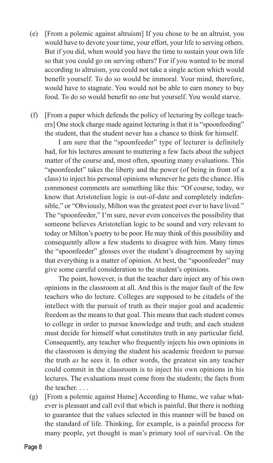- (e) [From a polemic against altruism] If you chose to be an altruist, you would have to devote your time, your effort, your life to serving others. But if you did, when would you have the time to sustain your own life so that you could go on serving others? For if you wanted to be moral according to altruism, you could not take a single action which would benefit yourself. To do so would be immoral. Your mind, therefore, would have to stagnate. You would not be able to earn money to buy food. To do so would benefit no one but yourself. You would starve.
- (f) [From a paper which defends the policy of lecturing by college teachers] One stock charge made against lecturing is that it is "spoonfeeding" the student, that the student never has a chance to think for himself.

 I am sure that the "spoonfeeder" type of lecturer is definitely bad, for his lectures amount to muttering a few facts about the subject matter of the course and, most often, spouting many evaluations. This "spoonfeedet" takes the liberty and the power (of being in front of a class) to inject his personal opinions whenever he gets the chance. His commonest comments are something like this: "Of course, today, we know that Aristotelian logic is out-of-date and completely indefensible," or "Obviously, Milton was the greatest poet ever to have lived." The "spoonfeeder," I'm sure, never even conceives the possibility that someone believes Aristotelian logic to be sound and very relevant to today or Milton's poetry to be poor. He may think of this possibility and consequently allow a few students to disagree with him. Many times the "spoonfeeder" glosses over the student's disagreement by saying that everything is a matter of opinion. At best, the "spoonfeeder" may give some careful consideration to the student's opinions.

 The point, however, is that the teacher dare inject any of his own opinions in the classroom at all. And this is the major fault of the few teachers who do lecture. Colleges are supposed to be citadels of the intellect with the pursuit of truth as their major goal and academic freedom as the means to that goal. This means that each student comes to college in order to pursue knowledge and truth; and each student must decide for himself what constitutes truth in any particular field. Consequently, any teacher who frequently injects his own opinions in the classroom is denying the student his academic freedom to pursue the truth *as* he sees it. In other words, the greatest sin any teacher could commit in the classroom is to inject his own opinions in his lectures. The evaluations must come from the students; the facts from the teacher

 (g) [From a polemic against Hume] According to Hume, we value whatever is pleasant and call evil that which is painful. But there is nothing to guarantee that the values selected in this manner will be based on the standard of life. Thinking, for example, is a painful process for many people, yet thought is man's primary tool of survival. On the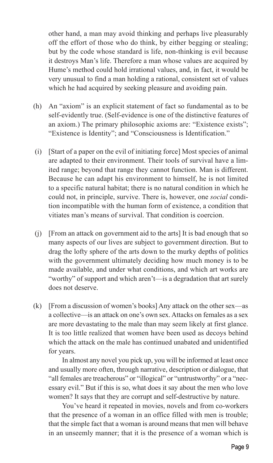other hand, a man may avoid thinking and perhaps live pleasurably off the effort of those who do think, by either begging or stealing; but by the code whose standard is life, non-thinking is evil because it destroys Man's life. Therefore a man whose values are acquired by Hume's method could hold irrational values, and, in fact, it would be very unusual to find a man holding a rational, consistent set of values which he had acquired by seeking pleasure and avoiding pain.

- (h) An "axiom" is an explicit statement of fact so fundamental as to be self-evidently true. (Self-evidence is one of the distinctive features of an axiom.) The primary philosophic axioms are: "Existence exists"; "Existence is Identity"; and "Consciousness is Identification."
- (i) [Start of a paper on the evil of initiating force] Most species of animal are adapted to their environment. Their tools of survival have a limited range; beyond that range they cannot function. Man is different. Because he can adapt his environment to himself, he is not limited to a specific natural habitat; there is no natural condition in which he could not, in principle, survive. There is, however, one *social* condition incompatible with the human form of existence, a condition that vitiates man's means of survival. That condition is coercion.
- (j) [From an attack on government aid to the arts] It is bad enough that so many aspects of our lives are subject to government direction. But to drag the lofty sphere of the arts down to the murky depths of politics with the government ultimately deciding how much money is to be made available, and under what conditions, and which art works are "worthy" of support and which aren't—is a degradation that art surely does not deserve.
- (k) [From a discussion of women's books] Any attack on the other sex—as a collective—is an attack on one's own sex. Attacks on females as a sex are more devastating to the male than may seem likely at first glance. It is too little realized that women have been used as decoys behind which the attack on the male has continued unabated and unidentified for years.

 In almost any novel you pick up, you will be informed at least once and usually more often, through narrative, description or dialogue, that "all females are treacherous" or "illogical" or "untrustworthy" or a "necessary evil." But if this is so, what does it say about the men who love women? It says that they are corrupt and self-destructive by nature.

 You've heard it repeated in movies, novels and from co-workers that the presence of a woman in an office filled with men is trouble; that the simple fact that a woman is around means that men will behave in an unseemly manner; that it is the presence of a woman which is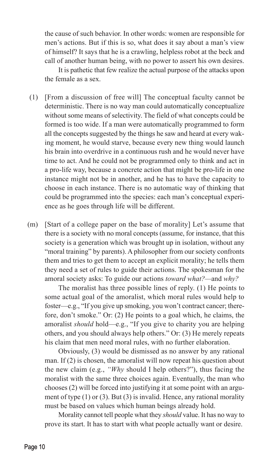the cause of such behavior. In other words: women are responsible for men's actions. But if this is so, what does it say about a man's view of himself? It says that he is a crawling, helpless robot at the beck and call of another human being, with no power to assert his own desires.

 It is pathetic that few realize the actual purpose of the attacks upon the female as a sex.

 (1) [From a discussion of free will] The conceptual faculty cannot be deterministic. There is no way man could automatically conceptualize without some means of selectivity. The field of what concepts could be formed is too wide. If a man were automatically programmed to form all the concepts suggested by the things he saw and heard at every waking moment, he would starve, because every new thing would launch his brain into overdrive in a continuous rush and he would never have time to act. And he could not be programmed only to think and act in a pro-life way, because a concrete action that might be pro-life in one instance might not be in another, and he has to have the capacity to choose in each instance. There is no automatic way of thinking that could be programmed into the species: each man's conceptual experience as he goes through life will be different.

 (m) [Start of a college paper on the base of morality] Let's assume that there is a society with no moral concepts (assume, for instance, that this society is a generation which was brought up in isolation, without any "moral training" by parents). A philosopher from our society confronts them and tries to get them to accept an explicit morality; he tells them they need a set of rules to guide their actions. The spokesman for the amoral society asks: To guide our actions *toward what?—*and *why?*

 The moralist has three possible lines of reply. (1) He points to some actual goal of the amoralist, which moral rules would help to foster—e.g., "If you give up smoking, you won't contract cancer; therefore, don't smoke." Or: (2) He points to a goal which, he claims, the amoralist *should* hold—e.g., "If you give to charity you are helping others, and you should always help others." Or: (3) He merely repeats his claim that men need moral rules, with no further elaboration.

 Obviously, (3) would be dismissed as no answer by any rational man. If (2) is chosen, the amoralist will now repeat his question about the new claim (e.g., *"Why* should I help others?"), thus facing the moralist with the same three choices again. Eventually, the man who chooses (2) will be forced into justifying it at some point with an argument of type (1) or (3). But (3) is invalid. Hence, any rational morality must be based on values which human beings already hold.

 Morality cannot tell people what they *should* value. It has no way to prove its start. It has to start with what people actually want or desire.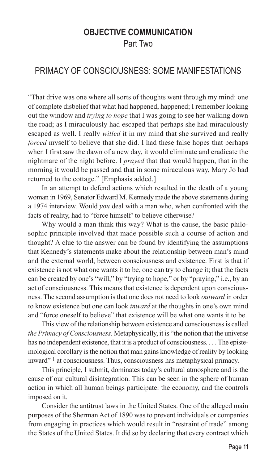#### **OBJECTIVE COMMUNICATION** Part Two

#### PRIMACY OF CONSCIOUSNESS: SOME MANIFESTATIONS

"That drive was one where all sorts of thoughts went through my mind: one of complete disbelief that what had happened, happened; I remember looking out the window and *trying to hope* that I was going to see her walking down the road; as I miraculously had escaped that perhaps she had miraculously escaped as well. I really *willed* it in my mind that she survived and really *forced* myself to believe that she did. I had these false hopes that perhaps when I first saw the dawn of a new day, it would eliminate and eradicate the nightmare of the night before. I *prayed* that that would happen, that in the morning it would be passed and that in some miraculous way, Mary Jo had returned to the cottage." [Emphasis added.]

In an attempt to defend actions which resulted in the death of a young woman in 1969, Senator Edward M. Kennedy made the above statements during a 1974 interview. Would *you* deal with a man who, when confronted with the facts of reality, had to "force himself' to believe otherwise?

Why would a man think this way? What is the cause, the basic philosophic principle involved that made possible such a course of action and thought? A clue to the answer can be found by identifying the assumptions that Kennedy's statements make about the relationship between man's mind and the external world, between consciousness and existence. First is that if existence is not what one wants it to be, one can try to change it; that the facts can be created by one's "will," by "trying to hope," or by "praying," i.e., by an act of consciousness. This means that existence is dependent upon consciousness. The second assumption is that one does not need to look *outward* in order to know existence but one can look *inward* at the thoughts in one's own mind and "force oneself to believe" that existence will be what one wants it to be.

This view of the relationship between existence and consciousness is called *the Primacy of Consciousness.* Metaphysically, it is "the notion that the universe has no independent existence, that it is a product of consciousness. . . . The epistemological corollary is the notion that man gains knowledge of reality by looking inward" 1 at consciousness. Thus, consciousness has metaphysical primacy.

This principle, I submit, dominates today's cultural atmosphere and is the cause of our cultural disintegration. This can be seen in the sphere of human action in which all human beings participate: the economy, and the controls imposed on it.

Consider the antitrust laws in the United States. One of the alleged main purposes of the Sherman Act of 1890 was to prevent individuals or companies from engaging in practices which would result in "restraint of trade" among the States of the United States. It did so by declaring that every contract which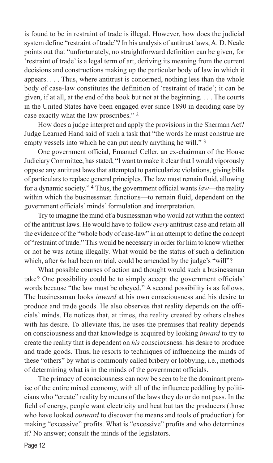is found to be in restraint of trade is illegal. However, how does the judicial system define "restraint of trade"? In his analysis of antitrust laws, A. D. Neale points out that "unfortunately, no straightforward definition can be given, for 'restraint of trade' is a legal term of art, deriving its meaning from the current decisions and constructions making up the particular body of law in which it appears. . . . Thus, where antitrust is concerned, nothing less than the whole body of case-law constitutes the definition of 'restraint of trade'; it can be given, if at all, at the end of the book but not at the beginning. . . . The courts in the United States have been engaged ever since 1890 in deciding case by case exactly what the law proscribes." 2

How does a judge interpret and apply the provisions in the Sherman Act? Judge Learned Hand said of such a task that "the words he must construe are empty vessels into which he can put nearly anything he will." 3

One government official, Emanuel Celler, an ex-chairman of the House Judiciary Committee, has stated, "I want to make it clear that I would vigorously oppose any antitrust laws that attempted to particularize violations, giving bills of particulars to replace general principles. The law must remain fluid, allowing for a dynamic society." 4 Thus, the government official wants *law*—the reality within which the businessman functions—to remain fluid, dependent on the government officials' minds' formulation and interpretation.

Try to imagine the mind of a businessman who would act within the context of the antitrust laws. He would have to follow *every* antitrust case and retain all the evidence of the "whole body of case-law" in an attempt to define the concept of "restraint of trade." This would be necessary in order for him to know whether or not he was acting illegally. What would be the status of such a definition which, after *he* had been on trial, could be amended by the judge's "will"?

What possible courses of action and thought would such a businessman take? One possibility could be to simply accept the government officials' words because "the law must be obeyed." A second possibility is as follows. The businessman looks *inward* at his own consciousness and his desire to produce and trade goods. He also observes that reality depends on the officials' minds. He notices that, at times, the reality created by others clashes with his desire. To alleviate this, he uses the premises that reality depends on consciousness and that knowledge is acquired by looking *inward* to try to create the reality that is dependent on *his* consciousness: his desire to produce and trade goods. Thus, he resorts to techniques of influencing the minds of these "others" by what is commonly called bribery or lobbying, i.e., methods of determining what is in the minds of the government officials.

The primacy of consciousness can now be seen to be the dominant premise of the entire mixed economy, with all of the influence peddling by politicians who "create" reality by means of the laws they do or do not pass. In the field of energy, people want electricity and heat but tax the producers (those who have looked *outward* to discover the means and tools of production) for making "excessive" profits. What is "excessive" profits and who determines it? No answer; consult the minds of the legislators.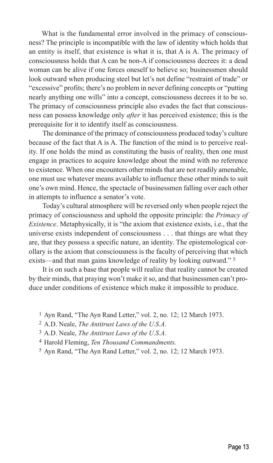What is the fundamental error involved in the primacy of consciousness? The principle is incompatible with the law of identity which holds that an entity is itself, that existence is what it is, that A is A. The primacy of consciousness holds that A can be non-A if consciousness decrees it: a dead woman can be alive if one forces oneself to believe so; businessmen should look outward when producing steel but let's not define "restraint of trade" or "excessive" profits; there's no problem in never defining concepts or "putting nearly anything one wills" into a concept, consciousness decrees it to be so. The primacy of consciousness principle also evades the fact that consciousness can possess knowledge only *after* it has perceived existence; this is the prerequisite for it to identify itself as consciousness.

The dominance of the primacy of consciousness produced today's culture because of the fact that A is A. The function of the mind is to perceive reality. If one holds the mind as constituting the basis of reality, then one must engage in practices to acquire knowledge about the mind with no reference to existence. When one encounters other minds that are not readily amenable, one must use whatever means available to influence these other minds to suit one's own mind. Hence, the spectacle of businessmen falling over each other in attempts to influence a senator's vote.

Today's cultural atmosphere will be reversed only when people reject the primacy of consciousness and uphold the opposite principle: the *Primacy of Existence*. Metaphysically, it is "the axiom that existence exists, i.e., that the universe exists independent of consciousness . . . that things are what they are, that they possess a specific nature, an identity. The epistemological corollary is the axiom that consciousness is the faculty of perceiving that which exists—and that man gains knowledge of reality by looking outward." 5

It is on such a base that people will realize that reality cannot be created by their minds, that praying won't make it so, and that businessmen can't produce under conditions of existence which make it impossible to produce.

- 1 Ayn Rand, "The Ayn Rand Letter," vol. 2, no. 12; 12 March 1973.
- 2 A.D. Neale, *The Antitrust Laws of the U.S.A.*
- 3 A.D. Neale, *The Antitrust Laws of the U.S.A.*
- 4 Harold Fleming, *Ten Thousand Commandments.*
- 5 Ayn Rand, "The Ayn Rand Letter," vol. 2, no. 12; 12 March 1973.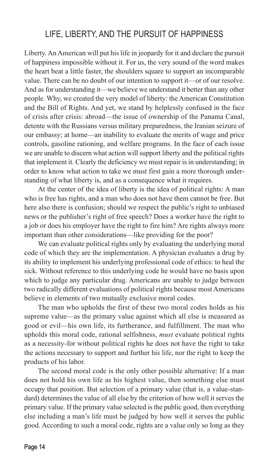#### LIFE, LIBERTY, AND THE PURSUIT OF HAPPINESS

Liberty. An American will put his life in jeopardy for it and declare the pursuit of happiness impossible without it. For us, the very sound of the word makes the heart beat a little faster, the shoulders square to support an incomparable value. There can be no doubt of our intention to support it—or of our resolve. And as for understanding it—we believe we understand it better than any other people. Why, we created the very model of liberty: the American Constitution and the Bill of Rights. And yet, we stand by helplessly confused in the face of crisis after crisis: abroad—the issue of ownership of the Panama Canal, detente with the Russians versus military preparedness, the Iranian seizure of our embassy; at home—an inability to evaluate the merits of wage and price controls, gasoline rationing, and welfare programs. In the face of each issue we are unable to discern what action will support liberty and the political rights that implement it. Clearly the deficiency we must repair is in understanding; in order to know what action to take we must first gain a more thorough understanding of what liberty is, and as a consequence what it requires.

At the center of the idea of liberty is the idea of political rights: A man who is free has rights, and a man who does not have them cannot be free. But here also there is confusion; should we respect the public's right to unbiased news or the publisher's right of free speech? Does a worker have the right to a job or does his employer have the right to fire him? Are rights always more important than other considerations—like providing for the poor?

We can evaluate political rights only by evaluating the underlying moral code of which they are the implementation. A physician evaluates a drug by its ability to implement his underlying professional code of ethics: to heal the sick. Without reference to this underlying code he would have no basis upon which to judge any particular drug. Americans are unable to judge between two radically different evaluations of political rights because most Americans believe in elements of two mutually exclusive moral codes.

The man who upholds the first of these two moral codes holds as his supreme value—as the primary value against which all else is measured as good or evil—his own life, its furtherance, and fulfillment. The man who upholds this moral code, rational selfishness, *must* evaluate political rights as a necessity-for without political rights he does not have the right to take the actions necessary to support and further his life, nor the right to keep the products of his labor.

The second moral code is the only other possible alternative: If a man does not hold his own life as his highest value, then something else must occupy that position. But selection of a primary value (that is, a value-standard) determines the value of all else by the criterion of how well it serves the primary value. If the primary value selected is the public good, then everything else including a man's life must be judged by how well it serves the public good. According to such a moral code, rights are a value only so long as they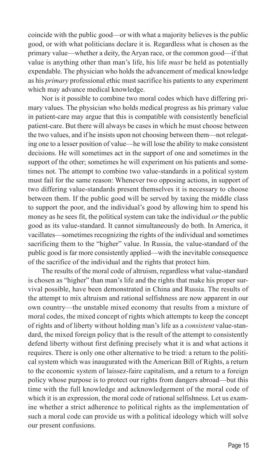coincide with the public good—or with what a majority believes is the public good, or with what politicians declare it is. Regardless what is chosen as the primary value—whether a deity, the Aryan race, or the common good—if that value is anything other than man's life, his life *must* be held as potentially expendable. The physician who holds the advancement of medical knowledge as his *primary* professional ethic must sacrifice his patients to any experiment which may advance medical knowledge.

Nor is it possible to combine two moral codes which have differing primary values. The physician who holds medical progress as his primary value in patient-care may argue that this is compatible with consistently beneficial patient-care. But there will always be cases in which he must choose between the two values, and if he insists upon not choosing between them—not relegating one to a lesser position of value—he will lose the ability to make consistent decisions. He will sometimes act in the support of one and sometimes in the support of the other; sometimes he will experiment on his patients and sometimes not. The attempt to combine two value-standards in a political system must fail for the same reason: Whenever two opposing actions, in support of two differing value-standards present themselves it is necessary to choose between them. If the public good will be served by taxing the middle class to support the poor, and the individual's good by allowing him to spend his money as he sees fit, the political system can take the individual *or* the public good as its value-standard. It cannot simultaneously do both. In America, it vacillates—sometimes recognizing the rights of the individual and sometimes sacrificing them to the "higher" value. In Russia, the value-standard of the public good is far more consistently applied—with the inevitable consequence of the sacrifice of the individual and the rights that protect him.

The results of the moral code of altruism, regardless what value-standard is chosen as "higher" than man's life and the rights that make his proper survival possible, have been demonstrated in China and Russia. The results of the attempt to mix altruism and rational selfishness are now apparent in our own country—the unstable mixed economy that results from a mixture of moral codes, the mixed concept of rights which attempts to keep the concept of rights and of liberty without holding man's life as a *consistent* value-standard, the mixed foreign policy that is the result of the attempt to consistently defend liberty without first defining precisely what it is and what actions it requires. There is only one other alternative to be tried: a return to the political system which was inaugurated with the American Bill of Rights, a return to the economic system of laissez-faire capitalism, and a return to a foreign policy whose purpose is to protect our rights from dangers abroad—but this time with the full knowledge and acknowledgement of the moral code of which it is an expression, the moral code of rational selfishness. Let us examine whether a strict adherence to political rights as the implementation of such a moral code can provide us with a political ideology which will solve our present confusions.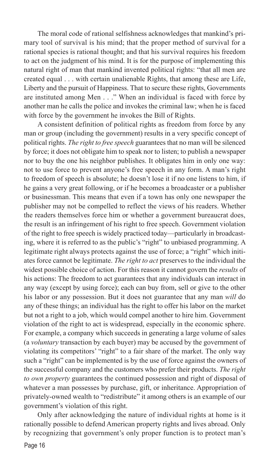The moral code of rational selfishness acknowledges that mankind's primary tool of survival is his mind; that the proper method of survival for a rational species is rational thought; and that his survival requires his freedom to act on the judgment of his mind. It is for the purpose of implementing this natural right of man that mankind invented political rights: "that all men are created equal . . . with certain unalienable Rights, that among these are Life, Liberty and the pursuit of Happiness. That to secure these rights, Governments are instituted among Men . . ." When an individual is faced with force by another man he calls the police and invokes the criminal law; when he is faced with force by the government he invokes the Bill of Rights.

A consistent definition of political rights as freedom from force by any man or group (including the government) results in a very specific concept of political rights. *The right to free speech* guarantees that no man will be silenced by force; it does not obligate him to speak nor to listen; to publish a newspaper nor to buy the one his neighbor publishes. It obligates him in only one way: not to use force to prevent anyone's free speech in any form. A man's right to freedom of speech is absolute; he doesn't lose it if no one listens to him, if he gains a very great following, or if he becomes a broadcaster or a publisher or businessman. This means that even if a town has only one newspaper the publisher may not be compelled to reflect the views of his readers. Whether the readers themselves force him or whether a government bureaucrat does, the result is an infringement of his right to free speech. Government violation of the right to free speech is widely practiced today—particularly in broadcasting, where it is referred to as the public's "right" to unbiased programming. A legitimate right always protects against the use of force; a "right" which initiates force cannot be legitimate. *The right to act* preserves to the individual the widest possible choice of action. For this reason it cannot govern the *results* of his actions: The freedom to act guarantees that any individuals can interact in any way (except by using force); each can buy from, sell or give to the other his labor or any possession. But it does not guarantee that any man *will* do any of these things; an individual has the right to offer his labor on the market but not a right to a job, which would compel another to hire him. Government violation of the right to act is widespread, especially in the economic sphere. For example, a company which succeeds in generating a large volume of sales (a *voluntary* transaction by each buyer) may be accused by the government of violating its competitors' "right" to a fair share of the market. The only way such a "right" can be implemented is by the use of force against the owners of the successful company and the customers who prefer their products. *The right to own property* guarantees the continued possession and right of disposal of whatever a man possesses by purchase, gift, or inheritance. Appropriation of privately-owned wealth to "redistribute" it among others is an example of our government's violation of this right.

Only after acknowledging the nature of individual rights at home is it rationally possible to defend American property rights and lives abroad. Only by recognizing that government's only proper function is to protect man's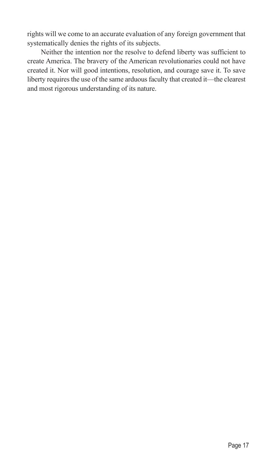rights will we come to an accurate evaluation of any foreign government that systematically denies the rights of its subjects.

Neither the intention nor the resolve to defend liberty was sufficient to create America. The bravery of the American revolutionaries could not have created it. Nor will good intentions, resolution, and courage save it. To save liberty requires the use of the same arduous faculty that created it—the clearest and most rigorous understanding of its nature.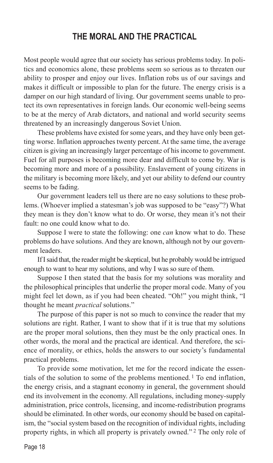#### **THE MORAL AND THE PRACTICAL**

Most people would agree that our society has serious problems today. In politics and economics alone, these problems seem so serious as to threaten our ability to prosper and enjoy our lives. Inflation robs us of our savings and makes it difficult or impossible to plan for the future. The energy crisis is a damper on our high standard of living. Our government seems unable to protect its own representatives in foreign lands. Our economic well-being seems to be at the mercy of Arab dictators, and national and world security seems threatened by an increasingly dangerous Soviet Union.

These problems have existed for some years, and they have only been getting worse. Inflation approaches twenty percent. At the same time, the average citizen is giving an increasingly larger percentage of his income to government. Fuel for all purposes is becoming more dear and difficult to come by. War is becoming more and more of a possibility. Enslavement of young citizens in the military is becoming more likely, and yet our ability to defend our country seems to be fading.

Our government leaders tell us there are no easy solutions to these problems. (Whoever implied a statesman's job was supposed to be "easy"?) What they mean is they don't know what to do. Or worse, they mean it's not their fault: no one could know what to do.

Suppose I were to state the following: one *can* know what to do. These problems do have solutions. And they are known, although not by our government leaders.

If I said that, the reader might be skeptical, but he probably would be intrigued enough to want to hear my solutions, and why I was so sure of them.

Suppose I then stated that the basis for my solutions was morality and the philosophical principles that underlie the proper moral code. Many of you might feel let down, as if you had been cheated. "Oh!" you might think, "I thought he meant *practical* solutions."

The purpose of this paper is not so much to convince the reader that my solutions are right. Rather, I want to show that if it is true that my solutions are the proper moral solutions, then they must be the only practical ones. In other words, the moral and the practical are identical. And therefore, the science of morality, or ethics, holds the answers to our society's fundamental practical problems.

To provide some motivation, let me for the record indicate the essentials of the solution to some of the problems mentioned.<sup>1</sup> To end inflation, the energy crisis, and a stagnant economy in general, the government should end its involvement in the economy. All regulations, including money-supply administration, price controls, licensing, and income-redistribution programs should be eliminated. In other words, our economy should be based on capitalism, the "social system based on the recognition of individual rights, including property rights, in which all property is privately owned." 2 The only role of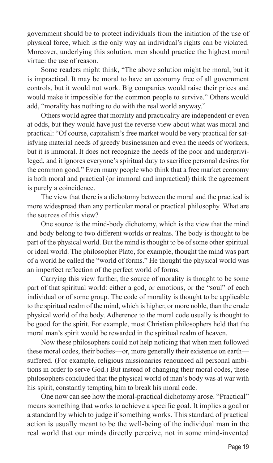government should be to protect individuals from the initiation of the use of physical force, which is the only way an individual's rights can be violated. Moreover, underlying this solution, men should practice the highest moral virtue: the use of reason.

Some readers might think, "The above solution might be moral, but it is impractical. It may be moral to have an economy free of all government controls, but it would not work. Big companies would raise their prices and would make it impossible for the common people to survive." Others would add, "morality has nothing to do with the real world anyway."

Others would agree that morality and practicality are independent or even at odds, but they would have just the reverse view about what was moral and practical: "Of course, capitalism's free market would be very practical for satisfying material needs of greedy businessmen and even the needs of workers, but it is immoral. It does not recognize the needs of the poor and underprivileged, and it ignores everyone's spiritual duty to sacrifice personal desires for the common good." Even many people who think that a free market economy is both moral and practical (or immoral and impractical) think the agreement is purely a coincidence.

The view that there is a dichotomy between the moral and the practical is more widespread than any particular moral or practical philosophy. What are the sources of this view?

One source is the mind-body dichotomy, which is the view that the mind and body belong to two different worlds or realms. The body is thought to be part of the physical world. But the mind is thought to be of some other spiritual or ideal world. The philosopher Plato, for example, thought the mind was part of a world he called the "world of forms." He thought the physical world was an imperfect reflection of the perfect world of forms.

Carrying this view further, the source of morality is thought to be some part of that spiritual world: either a god, or emotions, or the "soul" of each individual or of some group. The code of morality is thought to be applicable to the spiritual realm of the mind, which is higher, or more noble, than the crude physical world of the body. Adherence to the moral code usually is thought to be good for the spirit. For example, most Christian philosophers held that the moral man's spirit would be rewarded in the spiritual realm of heaven.

Now these philosophers could not help noticing that when men followed these moral codes, their bodies—or, more generally their existence on earth suffered. (For example, religious missionaries renounced all personal ambitions in order to serve God.) But instead of changing their moral codes, these philosophers concluded that the physical world of man's body was at war with his spirit, constantly tempting him to break his moral code.

One now can see how the moral-practical dichotomy arose. "Practical" means something that works to achieve a specific goal. It implies a goal or a standard by which to judge if something works. This standard of practical action is usually meant to be the well-being of the individual man in the real world that our minds directly perceive, not in some mind-invented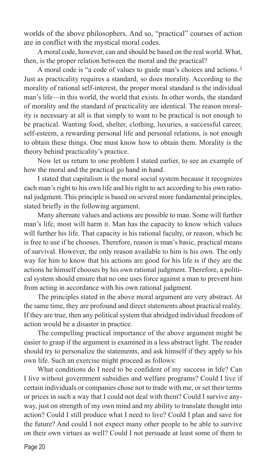worlds of the above philosophers. And so, "practical" courses of action are in conflict with the mystical moral codes.

A moral code, however, can and should be based on the real world. What, then, is the proper relation between the moral and the practical?

A moral code is "a code of values to guide man's choices and actions. 3 Just as practicality requires a standard, so does morality. According to the morality of rational self-interest, the proper moral standard is the individual man's life—in this world, the world that exists. In other words, the standard of morality and the standard of practicality are identical. The reason morality is necessary at all is that simply to want to be practical is not enough to be practical. Wanting food, shelter, clothing, luxuries, a successful career, self-esteem, a rewarding personal life and personal relations, is not enough to obtain these things. One must know how to obtain them. Morality is the theory behind practicality's practice.

Now let us return to one problem I stated earlier, to see an example of how the moral and the practical go hand in hand.

I stated that capitalism is the moral social system because it recognizes each man's right to his own life and his right to act according to his own rational judgment. This principle is based on several more fundamental principles, stated briefly in the following argument.

Many alternate values and actions are possible to man. Some will further man's life, most will harm it. Man has the capacity to know which values will further his life. That capacity is his rational faculty, or reason, which he is free to use if he chooses. Therefore, reason is man's basic, practical means of survival. However, the only reason available to him is his own. The only way for him to know that his actions are good for his life is if they are the actions he himself chooses by his own rational judgment. Therefore, a political system should ensure that no one uses force against a man to prevent him from acting in accordance with his own rational judgment.

The principles stated in the above moral argument are very abstract. At the same time, they are profound and direct statements about practical reality. If they are true, then any political system that abridged individual freedom of action would be a disaster in practice.

The compelling practical importance of the above argument might be easier to grasp if the argument is examined in a less abstract light. The reader should try to personalize the statements, and ask himself if they apply to his own life. Such an exercise might proceed as follows:

What conditions do I need to be confident of my success in life? Can I live without government subsidies and welfare programs? Could I live if certain individuals or companies chose not to trade with me, or set their terms or prices in such a way that I could not deal with them? Could I survive anyway, just on strength of my own mind and my ability to translate thought into action? Could I still produce what I need to live? Could I plan and save for the future? And could I not expect many other people to be able to survive on their own virtues as well? Could I not persuade at least some of them to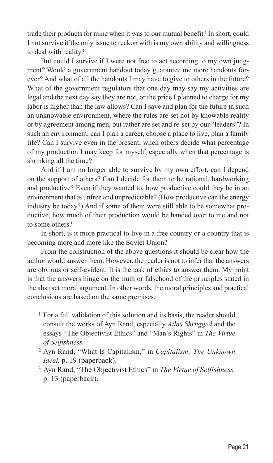trade their products for mine when it was to our mutual benefit? In short, could I not survive if the only issue to reckon with is my own ability and willingness to deal with reality?

But could I survive if I were not free to act according to my own judgment? Would a government handout today guarantee me more handouts forever? And what of all the handouts I may have to give to others in the future? What of the government regulators that one day may say my activities are legal and the next day say they are not, or the price I planned to charge for my labor is higher than the law allows? Can I save and plan for the future in such an unknowable environment, where the rules are set not by knowable reality or by agreement among men, but rather are set and re-set by our "leaders"? In such an environment, can I plan a career, choose a place to live, plan a family life? Can I survive even in the present, when others decide what percentage of my production I may keep for myself, especially when that percentage is shrinking all the time?

And if I am no longer able to survive by my own effort, can I depend on the support of others? Can I decide for them to be rational, hardworking and productive? Even if they wanted to, how productive could they be in an environment that is unfree and unpredictable? (How productive can the energy industry be today?) And if some of them were still able to be somewhat productive, how much of their production would be handed over to me and not to some others?

In short, is it more practical to live in a free country or a country that is becoming more and more like the Soviet Union?

From the construction of the above questions it should be clear how the author would answer them. However, the reader is not to infer that the answers are obvious or self-evident. It is the task of ethics to answer them. My point is that the answers hinge on the truth or falsehood of the principles stated in the abstract moral argument. In other words, the moral principles and practical conclusions are based on the same premises.

- 1 For a full validation of this solution and its basis, the reader should consult the works of Ayn Rand, especially *Atlas Shrugged* and the essays "The Objectivist Ethics" and "Man's Rights" in *The Virtue of Selfishness.*
- 2 Ayn Rand, "What Is Capitalism," in *Capitalism: The Unknown Ideal,* p. 19 (paperback).
- 3 Ayn Rand, "The Objectivist Ethics" in *The Virtue of Selfishness,* p. 13 (paperback).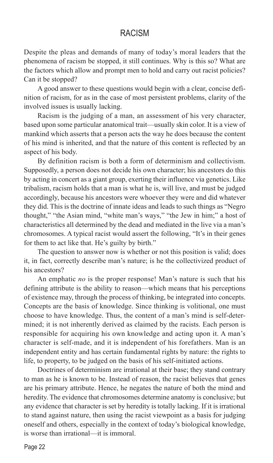#### RACISM

Despite the pleas and demands of many of today's moral leaders that the phenomena of racism be stopped, it still continues. Why is this so? What are the factors which allow and prompt men to hold and carry out racist policies? Can it be stopped?

A good answer to these questions would begin with a clear, concise definition of racism, for as in the case of most persistent problems, clarity of the involved issues is usually lacking.

Racism is the judging of a man, an assessment of his very character, based upon some particular anatomical trait—usually skin color. It is a view of mankind which asserts that a person acts the way he does because the content of his mind is inherited, and that the nature of this content is reflected by an aspect of his body.

By definition racism is both a form of determinism and collectivism. Supposedly, a person does not decide his own character; his ancestors do this by acting in concert as a giant group, exerting their influence via genetics. Like tribalism, racism holds that a man is what he is, will live, and must be judged accordingly, because his ancestors were whoever they were and did whatever they did. This is the doctrine of innate ideas and leads to such things as "Negro thought," "the Asian mind, "white man's ways," "the Jew in him;" a host of characteristics all determined by the dead and mediated in the live via a man's chromosomes. A typical racist would assert the following, "It's in their genes for them to act like that. He's guilty by birth."

The question to answer now is whether or not this position is valid; does it, in fact, correctly describe man's nature; is he the collectivized product of his ancestors?

An emphatic *no* is the proper response! Man's nature is such that his defining attribute is the ability to reason—which means that his perceptions of existence may, through the process of thinking, be integrated into concepts. Concepts are the basis of knowledge. Since thinking is volitional, one must choose to have knowledge. Thus, the content of a man's mind is self-determined; it is not inherently derived as claimed by the racists. Each person is responsible for acquiring his own knowledge and acting upon it. A man's character is self-made, and it is independent of his forefathers. Man is an independent entity and has certain fundamental rights by nature: the rights to life, to property, to be judged on the basis of his self-initiated actions.

Doctrines of determinism are irrational at their base; they stand contrary to man as he is known to be. Instead of reason, the racist believes that genes are his primary attribute. Hence, he negates the nature of both the mind and heredity. The evidence that chromosomes determine anatomy is conclusive; but any evidence that character is set by heredity is totally lacking. If it is irrational to stand against nature, then using the racist viewpoint as a basis for judging oneself and others, especially in the context of today's biological knowledge, is worse than irrational—it is immoral.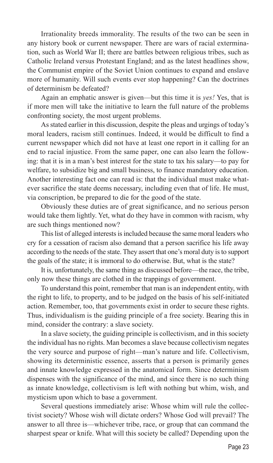Irrationality breeds immorality. The results of the two can be seen in any history book or current newspaper. There are wars of racial extermination, such as World War II; there are battles between religious tribes, such as Catholic Ireland versus Protestant England; and as the latest headlines show, the Communist empire of the Soviet Union continues to expand and enslave more of humanity. Will such events ever stop happening? Can the doctrines of determinism be defeated?

Again an emphatic answer is given—but this time it is *yes!* Yes, that is if more men will take the initiative to learn the full nature of the problems confronting society, the most urgent problems.

As stated earlier in this discussion, despite the pleas and urgings of today's moral leaders, racism still continues. Indeed, it would be difficult to find a current newspaper which did not have at least one report in it calling for an end to racial injustice. From the same paper, one can also learn the following: that it is in a man's best interest for the state to tax his salary—to pay for welfare, to subsidize big and small business, to finance mandatory education. Another interesting fact one can read is: that the individual must make whatever sacrifice the state deems necessary, including even that of life. He must, via conscription, be prepared to die for the good of the state.

Obviously these duties are of great significance, and no serious person would take them lightly. Yet, what do they have in common with racism, why are such things mentioned now?

This list of alleged interests is included because the same moral leaders who cry for a cessation of racism also demand that a person sacrifice his life away according to the needs of the state. They assert that one's moral duty is to support the goals of the state; it is immoral to do otherwise. But, what is the state?

It is, unfortunately, the same thing as discussed before—the race, the tribe, only now these things are clothed in the trappings of government.

To understand this point, remember that man is an independent entity, with the right to life, to property, and to be judged on the basis of his self-initiated action. Remember, too, that governments exist in order to secure these rights. Thus, individualism is the guiding principle of a free society. Bearing this in mind, consider the contrary: a slave society.

In a slave society, the guiding principle is collectivism, and in this society the individual has no rights. Man becomes a slave because collectivism negates the very source and purpose of right—man's nature and life. Collectivism, showing its deterministic essence, asserts that a person is primarily genes and innate knowledge expressed in the anatomical form. Since determinism dispenses with the significance of the mind, and since there is no such thing as innate knowledge, collectivism is left with nothing but whim, wish, and mysticism upon which to base a government.

Several questions immediately arise: Whose whim will rule the collectivist society? Whose wish will dictate orders? Whose God will prevail? The answer to all three is—whichever tribe, race, or group that can command the sharpest spear or knife. What will this society be called? Depending upon the